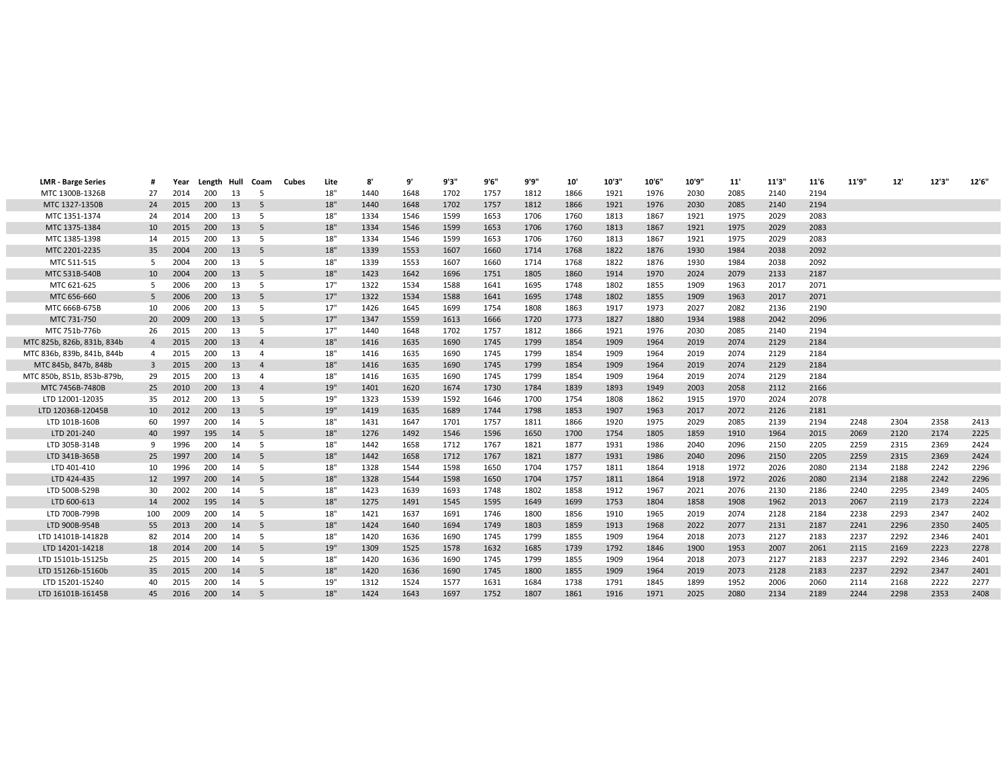| <b>LMR - Barge Series</b>  |                | Year | Length Hull |    | Coam           | Cubes | Lite | 8'   | 9'   | 9'3" | 9'6" | 9'9" | 10'  | 10'3" | 10'6" | 10'9" | 11'  | 11'3" | 11'6 | 11'9" | 12'  | 12'3" | 12'6" |
|----------------------------|----------------|------|-------------|----|----------------|-------|------|------|------|------|------|------|------|-------|-------|-------|------|-------|------|-------|------|-------|-------|
| MTC 1300B-1326B            | 27             | 2014 | 200         | 13 | .5             |       | 18"  | 1440 | 1648 | 1702 | 1757 | 1812 | 1866 | 1921  | 1976  | 2030  | 2085 | 2140  | 2194 |       |      |       |       |
| MTC 1327-1350B             | 24             | 2015 | 200         | 13 | .5             |       | 18"  | 1440 | 1648 | 1702 | 1757 | 1812 | 1866 | 1921  | 1976  | 2030  | 2085 | 2140  | 2194 |       |      |       |       |
| MTC 1351-1374              | 24             | 2014 | 200         | 13 | .5             |       | 18"  | 1334 | 1546 | 1599 | 1653 | 1706 | 1760 | 1813  | 1867  | 1921  | 1975 | 2029  | 2083 |       |      |       |       |
| MTC 1375-1384              | 10             | 2015 | 200         | 13 | 5              |       | 18"  | 1334 | 1546 | 1599 | 1653 | 1706 | 1760 | 1813  | 1867  | 1921  | 1975 | 2029  | 2083 |       |      |       |       |
| MTC 1385-1398              | 14             | 2015 | 200         | 13 | .5             |       | 18"  | 1334 | 1546 | 1599 | 1653 | 1706 | 1760 | 1813  | 1867  | 1921  | 1975 | 2029  | 2083 |       |      |       |       |
| MTC 2201-2235              | 35             | 2004 | 200         | 13 | 5              |       | 18"  | 1339 | 1553 | 1607 | 1660 | 1714 | 1768 | 1822  | 1876  | 1930  | 1984 | 2038  | 2092 |       |      |       |       |
| MTC 511-515                | 5              | 2004 | 200         | 13 | .5             |       | 18"  | 1339 | 1553 | 1607 | 1660 | 1714 | 1768 | 1822  | 1876  | 1930  | 1984 | 2038  | 2092 |       |      |       |       |
| MTC 531B-540B              | 10             | 2004 | 200         | 13 | 5              |       | 18"  | 1423 | 1642 | 1696 | 1751 | 1805 | 1860 | 1914  | 1970  | 2024  | 2079 | 2133  | 2187 |       |      |       |       |
| MTC 621-625                | 5              | 2006 | 200         | 13 | 5              |       | 17"  | 1322 | 1534 | 1588 | 1641 | 1695 | 1748 | 1802  | 1855  | 1909  | 1963 | 2017  | 2071 |       |      |       |       |
| MTC 656-660                | .5             | 2006 | 200         | 13 | 5              |       | 17"  | 1322 | 1534 | 1588 | 1641 | 1695 | 1748 | 1802  | 1855  | 1909  | 1963 | 2017  | 2071 |       |      |       |       |
| MTC 666B-675B              | 10             | 2006 | 200         | 13 | .5             |       | 17"  | 1426 | 1645 | 1699 | 1754 | 1808 | 1863 | 1917  | 1973  | 2027  | 2082 | 2136  | 2190 |       |      |       |       |
| MTC 731-750                | 20             | 2009 | 200         | 13 | 5              |       | 17"  | 1347 | 1559 | 1613 | 1666 | 1720 | 1773 | 1827  | 1880  | 1934  | 1988 | 2042  | 2096 |       |      |       |       |
| MTC 751b-776b              | 26             | 2015 | 200         | 13 | -5             |       | 17"  | 1440 | 1648 | 1702 | 1757 | 1812 | 1866 | 1921  | 1976  | 2030  | 2085 | 2140  | 2194 |       |      |       |       |
| MTC 825b, 826b, 831b, 834b | $\overline{4}$ | 2015 | 200         | 13 | $\overline{a}$ |       | 18"  | 1416 | 1635 | 1690 | 1745 | 1799 | 1854 | 1909  | 1964  | 2019  | 2074 | 2129  | 2184 |       |      |       |       |
| MTC 836b, 839b, 841b, 844b | $\overline{4}$ | 2015 | 200         | 13 | $\overline{4}$ |       | 18"  | 1416 | 1635 | 1690 | 1745 | 1799 | 1854 | 1909  | 1964  | 2019  | 2074 | 2129  | 2184 |       |      |       |       |
| MTC 845b, 847b, 848b       | $\overline{3}$ | 2015 | 200         | 13 | $\overline{4}$ |       | 18"  | 1416 | 1635 | 1690 | 1745 | 1799 | 1854 | 1909  | 1964  | 2019  | 2074 | 2129  | 2184 |       |      |       |       |
| MTC 850b, 851b, 853b-879b  | 29             | 2015 | 200         | 13 | $\Delta$       |       | 18"  | 1416 | 1635 | 1690 | 1745 | 1799 | 1854 | 1909  | 1964  | 2019  | 2074 | 2129  | 2184 |       |      |       |       |
| MTC 7456B-7480B            | 25             | 2010 | 200         | 13 | $\overline{4}$ |       | 19"  | 1401 | 1620 | 1674 | 1730 | 1784 | 1839 | 1893  | 1949  | 2003  | 2058 | 2112  | 2166 |       |      |       |       |
| LTD 12001-12035            | 35             | 2012 | 200         | 13 | .5             |       | 19"  | 1323 | 1539 | 1592 | 1646 | 1700 | 1754 | 1808  | 1862  | 1915  | 1970 | 2024  | 2078 |       |      |       |       |
| LTD 12036B-12045B          | 10             | 2012 | 200         | 13 | 5              |       | 19"  | 1419 | 1635 | 1689 | 1744 | 1798 | 1853 | 1907  | 1963  | 2017  | 2072 | 2126  | 2181 |       |      |       |       |
| LTD 101B-160B              | 60             | 1997 | 200         | 14 | .5             |       | 18"  | 1431 | 1647 | 1701 | 1757 | 1811 | 1866 | 1920  | 1975  | 2029  | 2085 | 2139  | 2194 | 2248  | 2304 | 2358  | 2413  |
| LTD 201-240                | 40             | 1997 | 195         | 14 | 5              |       | 18"  | 1276 | 1492 | 1546 | 1596 | 1650 | 1700 | 1754  | 1805  | 1859  | 1910 | 1964  | 2015 | 2069  | 2120 | 2174  | 2225  |
| LTD 305B-314B              | 9              | 1996 | 200         |    | .5             |       | 18"  | 1442 | 1658 | 1712 | 1767 | 1821 | 1877 | 1931  | 1986  | 2040  | 2096 | 2150  | 2205 | 2259  | 2315 | 2369  | 2424  |
| LTD 341B-365B              | 25             | 1997 | 200         | 14 | .5             |       | 18"  | 1442 | 1658 | 1712 | 1767 | 1821 | 1877 | 1931  | 1986  | 2040  | 2096 | 2150  | 2205 | 2259  | 2315 | 2369  | 2424  |
| LTD 401-410                | 10             | 1996 | 200         |    | .5             |       | 18"  | 1328 | 1544 | 1598 | 1650 | 1704 | 1757 | 1811  | 1864  | 1918  | 1972 | 2026  | 2080 | 2134  | 2188 | 2242  | 2296  |
| LTD 424-435                | 12             | 1997 | 200         | 14 | 5              |       | 18"  | 1328 | 1544 | 1598 | 1650 | 1704 | 1757 | 1811  | 1864  | 1918  | 1972 | 2026  | 2080 | 2134  | 2188 | 2242  | 2296  |
| LTD 500B-529B              | 30             | 2002 | 200         |    | .5             |       | 18"  | 1423 | 1639 | 1693 | 1748 | 1802 | 1858 | 1912  | 1967  | 2021  | 2076 | 2130  | 2186 | 2240  | 2295 | 2349  | 2405  |
| LTD 600-613                | 14             | 2002 | 195         | 14 | 5              |       | 18"  | 1275 | 1491 | 1545 | 1595 | 1649 | 1699 | 1753  | 1804  | 1858  | 1908 | 1962  | 2013 | 2067  | 2119 | 2173  | 2224  |
| LTD 700B-799B              | 100            | 2009 | 200         | 14 | .5             |       | 18"  | 1421 | 1637 | 1691 | 1746 | 1800 | 1856 | 1910  | 1965  | 2019  | 2074 | 2128  | 2184 | 2238  | 2293 | 2347  | 2402  |
| LTD 900B-954B              | 55             | 2013 | 200         | 14 | 5              |       | 18"  | 1424 | 1640 | 1694 | 1749 | 1803 | 1859 | 1913  | 1968  | 2022  | 2077 | 2131  | 2187 | 2241  | 2296 | 2350  | 2405  |
| LTD 14101B-14182B          | 82             | 2014 | 200         | 14 | .5             |       | 18"  | 1420 | 1636 | 1690 | 1745 | 1799 | 1855 | 1909  | 1964  | 2018  | 2073 | 2127  | 2183 | 2237  | 2292 | 2346  | 2401  |
| LTD 14201-14218            | 18             | 2014 | 200         | 14 | 5              |       | 19"  | 1309 | 1525 | 1578 | 1632 | 1685 | 1739 | 1792  | 1846  | 1900  | 1953 | 2007  | 2061 | 2115  | 2169 | 2223  | 2278  |
| LTD 15101b-15125b          | 25             | 2015 | 200         | 14 | .5             |       | 18"  | 1420 | 1636 | 1690 | 1745 | 1799 | 1855 | 1909  | 1964  | 2018  | 2073 | 2127  | 2183 | 2237  | 2292 | 2346  | 2401  |
| LTD 15126b-15160b          | 35             | 2015 | 200         | 14 | 5              |       | 18"  | 1420 | 1636 | 1690 | 1745 | 1800 | 1855 | 1909  | 1964  | 2019  | 2073 | 2128  | 2183 | 2237  | 2292 | 2347  | 2401  |
| LTD 15201-15240            | 40             | 2015 | 200         | 14 | 5              |       | 19"  | 1312 | 1524 | 1577 | 1631 | 1684 | 1738 | 1791  | 1845  | 1899  | 1952 | 2006  | 2060 | 2114  | 2168 | 2222  | 2277  |
| LTD 16101B-16145B          | 45             | 2016 | 200         | 14 |                |       | 18"  | 1424 | 1643 | 1697 | 1752 | 1807 | 1861 | 1916  | 1971  | 2025  | 2080 | 2134  | 2189 | 2244  | 2298 | 2353  | 2408  |
|                            |                |      |             |    |                |       |      |      |      |      |      |      |      |       |       |       |      |       |      |       |      |       |       |